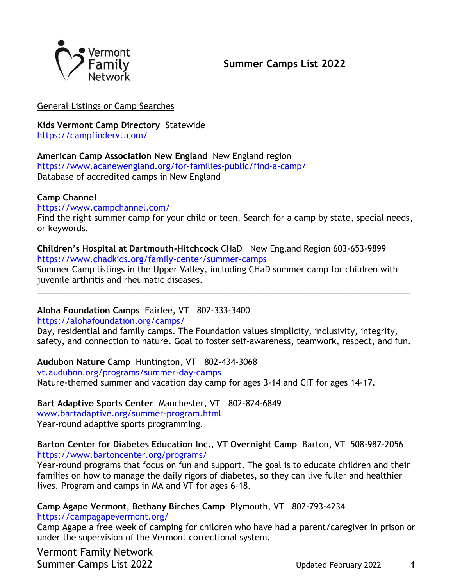

## General Listings or Camp Searches

**Kids Vermont Camp Directory** Statewide

<https://campfindervt.com/>

## **American Camp Association New England** New England region

<https://www.acanewengland.org/for-families-public/find-a-camp/> Database of accredited camps in New England

## **Camp Channel**

<https://www.campchannel.com/>

Find the right summer camp for your child or teen. Search for a camp by state, special needs, or keywords.

**Children's Hospital at Dartmouth-Hitchcock** CHaD New England Region 603-653-9899 https://www.chadkids.org/family-center/summer-camps

Summer Camp listings in the Upper Valley, including CHaD summer camp for children with juvenile arthritis and rheumatic diseases.

\_\_\_\_\_\_\_\_\_\_\_\_\_\_\_\_\_\_\_\_\_\_\_\_\_\_\_\_\_\_\_\_\_\_\_\_\_\_\_\_\_\_\_\_\_\_\_\_\_\_\_\_\_\_\_\_\_\_\_\_\_\_\_\_\_\_\_\_\_\_\_\_\_\_\_\_\_\_\_\_\_\_\_\_

## **Aloha Foundation Camps** Fairlee, VT 802-333-3400

<https://alohafoundation.org/camps/>

Day, residential and family camps. The Foundation values simplicity, inclusivity, integrity, safety, and connection to nature. Goal to foster self-awareness, teamwork, respect, and fun.

**Audubon Nature Camp** Huntington, VT 802-434-3068 [vt.audubon.org/programs/summer-day-camps](http://vt.audubon.org/programs/summer-day-camps) Nature-themed summer and vacation day camp for ages 3-14 and CIT for ages 14-17.

**Bart Adaptive Sports Center** Manchester, VT 802-824-6849 [www.bartadaptive.org/summer-program.html](https://linkprotect.cudasvc.com/url?a=http://www.bartadaptive.org/summer-program.html&c=E,1,NI6nHAdysZpJOPlRb7TEpExmyEd-dCMnECM6ySM7hbWDUoeoMLuJD1SwvDIM_Ia3AY4kWYxVSUey1fCB-ksxovsXnJadRsiwRDedo1FR&typo=1) Year-round adaptive sports programming.

**Barton Center for Diabetes Education Inc., VT Overnight Camp** Barton, VT 508-987-2056 <https://www.bartoncenter.org/programs/>

Year-round programs that focus on fun and support. The goal is to educate children and their families on how to manage the daily rigors of diabetes, so they can live fuller and healthier lives. Program and camps in MA and VT for ages 6-18.

**Camp Agape Vermont**, **Bethany Birches Camp** Plymouth, VT 802-793-4234

<https://campagapevermont.org/>

Camp Agape a free week of camping for children who have had a parent/caregiver in prison or under the supervision of the Vermont correctional system.

Vermont Family Network Summer Camps List 2022 Updated February 2022 **1**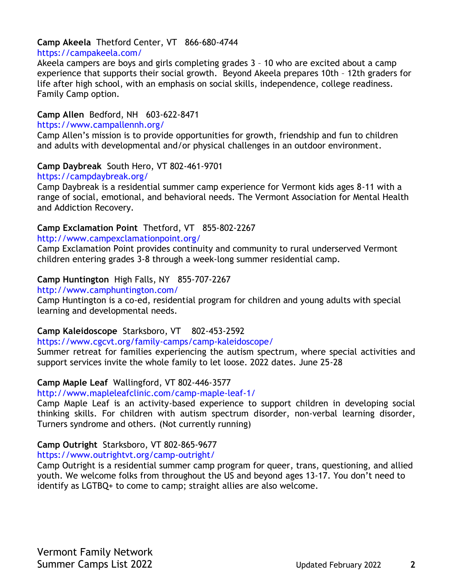## **Camp Akeela** Thetford Center, VT 866-680-4744

### <https://campakeela.com/>

Akeela campers are boys and girls completing grades 3 – 10 who are excited about a camp experience that supports their social growth. Beyond Akeela prepares 10th – 12th graders for life after high school, with an emphasis on social skills, independence, college readiness. Family Camp option.

### **Camp Allen** Bedford, NH 603-622-8471

#### <https://www.campallennh.org/>

Camp Allen's mission is to provide opportunities for growth, friendship and fun to children and adults with developmental and/or physical challenges in an outdoor environment.

### **Camp Daybreak** South Hero, VT 802-461-9701

### [https://campdaybreak.org/](http://www.campdaybreak.org/)

Camp Daybreak is a residential summer camp experience for Vermont kids ages 8-11 with a range of social, emotional, and behavioral needs. The Vermont Association for Mental Health and Addiction Recovery.

## **Camp Exclamation Point** Thetford, VT 855-802-2267

### <http://www.campexclamationpoint.org/>

Camp Exclamation Point provides continuity and community to rural underserved Vermont children entering grades 3-8 through a week-long summer residential camp.

## **Camp Huntington** High Falls, NY 855-707-2267

### <http://www.camphuntington.com/>

Camp Huntington is a co-ed, residential program for children and young adults with special learning and developmental needs.

## **Camp Kaleidoscope** Starksboro, VT 802-453-2592

<https://www.cgcvt.org/family-camps/camp-kaleidoscope/>

Summer retreat for families experiencing the autism spectrum, where special activities and support services invite the whole family to let loose. 2022 dates. June 25-28

## **Camp Maple Leaf** Wallingford, VT 802-446-3577

### <http://www.mapleleafclinic.com/camp-maple-leaf-1/>

Camp Maple Leaf is an activity-based experience to support children in developing social thinking skills. For children with autism spectrum disorder, non-verbal learning disorder, Turners syndrome and others. (Not currently running)

## **Camp Outright** Starksboro, VT 802-865-9677

### <https://www.outrightvt.org/camp-outright/>

Camp Outright is a residential summer camp program for queer, trans, questioning, and allied youth. We welcome folks from throughout the US and beyond ages 13-17. You don't need to identify as LGTBQ+ to come to camp; straight allies are also welcome.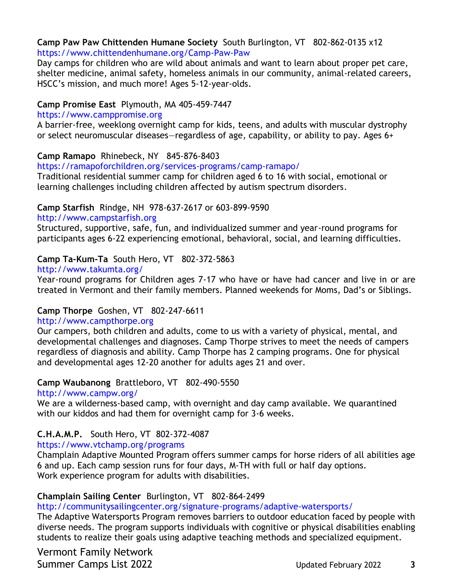### **Camp Paw Paw Chittenden Humane Society** South Burlington, VT 802-862-0135 x12 <https://www.chittendenhumane.org/Camp-Paw-Paw>

Day camps for children who are wild about animals and want to learn about proper pet care, shelter medicine, animal safety, homeless animals in our community, animal-related careers, HSCC's mission, and much more! Ages 5-12-year-olds.

### **Camp Promise East** Plymouth, MA 405-459-7447

### [https://www.camppromise.org](https://www.camppromise.org/)

A barrier-free, weeklong overnight camp for kids, teens, and adults with muscular dystrophy or select neuromuscular diseases—regardless of age, capability, or ability to pay. Ages 6+

### **Camp Ramapo** Rhinebeck, NY 845-876-8403

<https://ramapoforchildren.org/services-programs/camp-ramapo/>

Traditional residential summer camp for children aged 6 to 16 with social, emotional or learning challenges including children affected by autism spectrum disorders.

## **Camp Starfish** Rindge, NH 978-637-2617 or 603-899-9590

[http://www.campstarfish.org](http://www.campstarfish.org/)

Structured, supportive, safe, fun, and individualized summer and year-round programs for participants ages 6-22 experiencing emotional, behavioral, social, and learning difficulties.

## **Camp Ta-Kum-Ta** South Hero, VT 802-372-5863

<http://www.takumta.org/>

Year-round programs for Children ages 7-17 who have or have had cancer and live in or are treated in Vermont and their family members. Planned weekends for Moms, Dad's or Siblings.

## **Camp Thorpe** Goshen, VT 802-247-6611

### [http://www.campthorpe.org](http://www.campthorpe.org/)

Our campers, both children and adults, come to us with a variety of physical, mental, and developmental challenges and diagnoses. Camp Thorpe strives to meet the needs of campers regardless of diagnosis and ability. Camp Thorpe has 2 camping programs. One for physical and developmental ages 12-20 another for adults ages 21 and over.

## **Camp Waubanong** Brattleboro, VT 802-490-5550

<http://www.campw.org/>

We are a wilderness-based camp, with overnight and day camp available. We quarantined with our kiddos and had them for overnight camp for 3-6 weeks.

## **C.H.A.M.P.** South Hero, VT 802-372-4087

<https://www.vtchamp.org/programs>

Champlain Adaptive Mounted Program offers summer camps for horse riders of all abilities age 6 and up. Each camp session runs for four days, M-TH with full or half day options. Work experience program for adults with disabilities.

## **Champlain Sailing Center** Burlington, VT 802-864-2499

<http://communitysailingcenter.org/signature-programs/adaptive-watersports/>

The Adaptive Watersports Program removes barriers to outdoor education faced by people with diverse needs. The program supports individuals with cognitive or physical disabilities enabling students to realize their goals using adaptive teaching methods and specialized equipment.

Vermont Family Network Summer Camps List 2022 Updated February 2022 **3**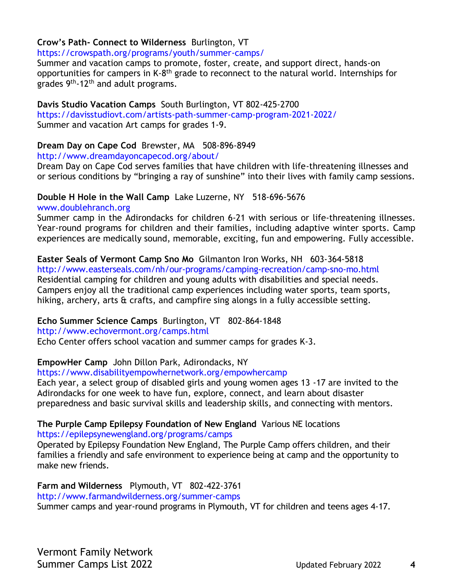## **Crow's Path- Connect to Wilderness** Burlington, VT

<https://crowspath.org/programs/youth/summer-camps/>

Summer and vacation camps to promote, foster, create, and support direct, hands-on opportunities for campers in K-8<sup>th</sup> grade to reconnect to the natural world. Internships for grades 9th-12th and adult programs.

### **Davis Studio Vacation Camps** South Burlington, VT 802-425-2700

<https://davisstudiovt.com/artists-path-summer-camp-program-2021-2022/> Summer and vacation Art camps for grades 1-9.

### **Dream Day on Cape Cod** Brewster, MA 508-896-8949

<http://www.dreamdayoncapecod.org/about/>

Dream Day on Cape Cod serves families that have children with life-threatening illnesses and or serious conditions by "bringing a ray of sunshine" into their lives with family camp sessions.

## **Double H Hole in the Wall Camp** Lake Luzerne, NY 518-696-5676

[www.doublehranch.org](http://www.doublehranch.org/)

Summer camp in the Adirondacks for children 6-21 with serious or life-threatening illnesses. Year-round programs for children and their families, including adaptive winter sports. Camp experiences are medically sound, memorable, exciting, fun and empowering. Fully accessible.

**Easter Seals of Vermont Camp Sno Mo** Gilmanton Iron Works, NH 603-364-5818 <http://www.easterseals.com/nh/our-programs/camping-recreation/camp-sno-mo.html> Residential camping for children and young adults with disabilities and special needs. Campers enjoy all the traditional camp experiences including water sports, team sports, hiking, archery, arts & crafts, and campfire sing alongs in a fully accessible setting.

**Echo Summer Science Camps** Burlington, VT 802-864-1848

### <http://www.echovermont.org/camps.html>

Echo Center offers school vacation and summer camps for grades K-3.

## **EmpowHer Camp** John Dillon Park, Adirondacks, NY

<https://www.disabilityempowhernetwork.org/empowhercamp>

Each year, a select group of disabled girls and young women ages 13 -17 are invited to the Adirondacks for one week to have fun, explore, connect, and learn about disaster preparedness and basic survival skills and leadership skills, and connecting with mentors.

## **The Purple Camp Epilepsy Foundation of New England** Various NE locations

<https://epilepsynewengland.org/programs/camps>

Operated by Epilepsy Foundation New England, The Purple Camp offers children, and their families a friendly and safe environment to experience being at camp and the opportunity to make new friends.

## **Farm and Wilderness** Plymouth, VT 802-422-3761

[http://www.farmandwilderness.org/summer-camps](http://www.farmandwilderness.org/)

Summer camps and year-round programs in Plymouth, VT for children and teens ages 4-17.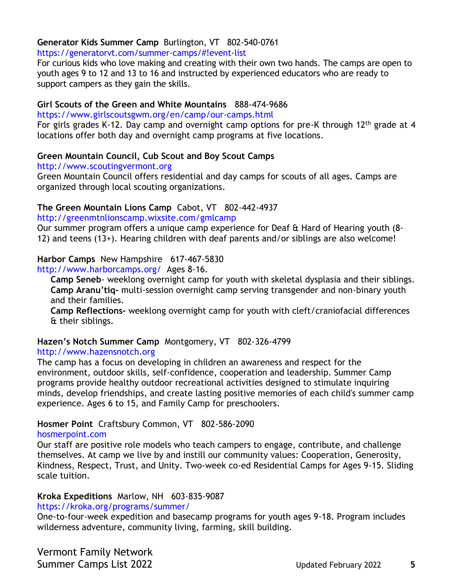## **Generator Kids Summer Camp** Burlington, VT 802-540-0761

### <https://generatorvt.com/summer-camps/#!event-list>

For curious kids who love making and creating with their own two hands. The camps are open to youth ages 9 to 12 and 13 to 16 and instructed by experienced educators who are ready to support campers as they gain the skills.

### **Girl Scouts of the Green and White Mountains** 888-474-9686

<https://www.girlscoutsgwm.org/en/camp/our-camps.html>

For girls grades K-12. Day camp and overnight camp options for pre-K through 12<sup>th</sup> grade at 4 locations offer both day and overnight camp programs at five locations.

## **Green Mountain Council, Cub Scout and Boy Scout Camps**

[http://www.scoutingvermont.org](http://www.scoutingvermont.org/)

Green Mountain Council offers residential and day camps for scouts of all ages. Camps are organized through local scouting organizations.

## **The Green Mountain Lions Camp** Cabot, VT 802-442-4937

<http://greenmtnlionscamp.wixsite.com/gmlcamp>

Our summer program offers a unique camp experience for Deaf & Hard of Hearing youth (8- 12) and teens (13+). Hearing children with deaf parents and/or siblings are also welcome!

## **Harbor Camps** New Hampshire 617-467-5830

<http://www.harborcamps.org/>Ages 8-16.

**Camp Seneb**- weeklong overnight camp for youth with skeletal dysplasia and their siblings. **Camp Aranu'tiq-** multi-session overnight camp serving transgender and non-binary youth and their families.

**Camp Reflections-** weeklong overnight camp for youth with cleft/craniofacial differences & their siblings.

## **Hazen's Notch Summer Camp** Montgomery, VT 802-326-4799

### [http://www.hazensnotch.org](http://www.hazensnotch.org/)

The camp has a focus on developing in children an awareness and respect for the environment, outdoor skills, self-confidence, cooperation and leadership. Summer Camp programs provide healthy outdoor recreational activities designed to stimulate inquiring minds, develop friendships, and create lasting positive memories of each child's summer camp experience. Ages 6 to 15, and Family Camp for preschoolers.

## **Hosmer Point** Craftsbury Common, VT 802-586-2090

### [hosmerpoint.com](https://linkprotect.cudasvc.com/url?a=http%3a%2f%2fhosmerpoint.com&c=E,1,QbxCYw9HeZnhRU95mLFzc91ph26mHUJ2QdYxj3_LPgi83RmYD4ajiH1vn-csoaZsrdkaIaHYnlMxucEyzMbz-uAk5536WlcWnVuyeIytIL65L8-or6aMgw,,&typo=1)

Our staff are positive role models who teach campers to engage, contribute, and challenge themselves. At camp we live by and instill our community values: Cooperation, Generosity, Kindness, Respect, Trust, and Unity. Two-week co-ed Residential Camps for Ages 9-15. Sliding scale tuition.

## **Kroka Expeditions** Marlow, NH 603-835-9087

### <https://kroka.org/programs/summer/>

One-to-four-week expedition and basecamp programs for youth ages 9-18. Program includes wilderness adventure, community living, farming, skill building.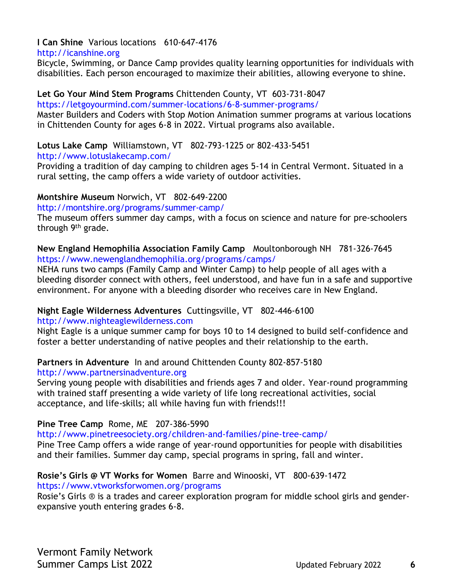## **I Can Shine** Various locations 610-647-4176

### [http://icanshine.org](http://icanshine.org/)

Bicycle, Swimming, or Dance Camp provides quality learning opportunities for individuals with disabilities. Each person encouraged to maximize their abilities, allowing everyone to shine.

## **Let Go Your Mind Stem Programs** Chittenden County, VT 603-731-8047

### <https://letgoyourmind.com/summer-locations/6-8-summer-programs/>

Master Builders and Coders with Stop Motion Animation summer programs at various locations in Chittenden County for ages 6-8 in 2022. Virtual programs also available.

## **Lotus Lake Camp** Williamstown, VT 802-793-1225 or 802-433-5451

### <http://www.lotuslakecamp.com/>

Providing a tradition of day camping to children ages 5-14 in Central Vermont. Situated in a rural setting, the camp offers a wide variety of outdoor activities.

## **Montshire Museum** Norwich, VT 802-649-2200

### <http://montshire.org/programs/summer-camp/>

The museum offers summer day camps, with a focus on science and nature for pre-schoolers through 9<sup>th</sup> grade.

**New England Hemophilia Association Family Camp** Moultonborough NH 781-326-7645 <https://www.newenglandhemophilia.org/programs/camps/>

NEHA runs two camps (Family Camp and Winter Camp) to help people of all ages with a bleeding disorder connect with others, feel understood, and have fun in a safe and supportive environment. For anyone with a bleeding disorder who receives care in New England.

## **Night Eagle Wilderness Adventures** Cuttingsville, VT 802-446-6100

### [http://www.nighteaglewilderness.com](http://www.nighteaglewilderness.com/)

Night Eagle is a unique summer camp for boys 10 to 14 designed to build self-confidence and foster a better understanding of native peoples and their relationship to the earth.

## **Partners in Adventure** In and around Chittenden County 802-857-5180

### [http://www.partnersinadventure.org](http://www.partnersinadventure.org/)

Serving young people with disabilities and friends ages 7 and older. Year-round programming with trained staff presenting a wide variety of life long recreational activities, social acceptance, and life-skills; all while having fun with friends!!!

## **Pine Tree Camp** Rome, ME 207-386-5990

## <http://www.pinetreesociety.org/children-and-families/pine-tree-camp/>

Pine Tree Camp offers a wide range of year-round opportunities for people with disabilities and their families. Summer day camp, special programs in spring, fall and winter.

#### **Rosie's Girls @ VT Works for Women** Barre and Winooski, VT800-639-1472 <https://www.vtworksforwomen.org/programs>

Rosie's Girls ® is a trades and career exploration program for middle school girls and genderexpansive youth entering grades 6-8.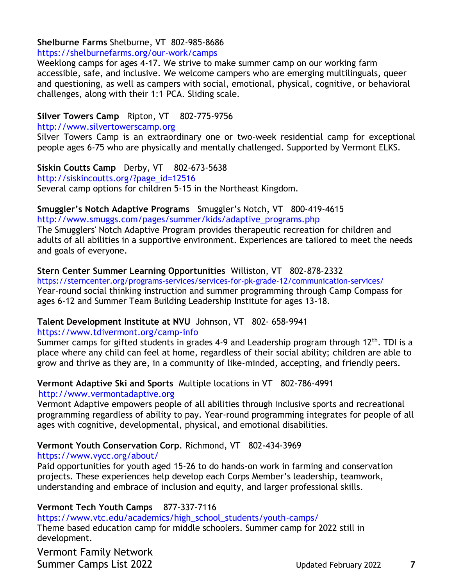### **Shelburne Farms** Shelburne, VT 802-985-8686

### <https://shelburnefarms.org/our-work/camps>

Weeklong camps for ages 4-17. We strive to make summer camp on our working farm accessible, safe, and inclusive. We welcome campers who are emerging multilinguals, queer and questioning, as well as campers with social, emotional, physical, cognitive, or behavioral challenges, along with their 1:1 PCA. Sliding scale.

### **Silver Towers Camp** Ripton, VT 802-775-9756

[http://www.silvertowerscamp.org](http://www.silvertowerscamp.org/)

Silver Towers Camp is an extraordinary one or two-week residential camp for exceptional people ages 6-75 who are physically and mentally challenged. Supported by Vermont ELKS.

**Siskin Coutts Camp** Derby, VT 802-673-5638 [http://siskincoutts.org/?page\\_id=12516](http://siskincoutts.org/?page_id=12516) Several camp options for children 5-15 in the Northeast Kingdom.

#### **Smuggler's Notch Adaptive Programs** Smuggler's Notch, VT 800-419-4615 [http://www.smuggs.com/pages/summer/kids/adaptive\\_programs.php](http://www.smuggs.com/pages/summer/kids/adaptive_programs.php)

The Smugglers' Notch Adaptive Program provides therapeutic recreation for children and adults of all abilities in a supportive environment. Experiences are tailored to meet the needs and goals of everyone.

### **Stern Center Summer Learning Opportunities** Williston, VT 802-878-2332

<https://sterncenter.org/programs-services/services-for-pk-grade-12/communication-services/> Year-round social thinking instruction and summer programming through Camp Compass for ages 6-12 and Summer Team Building Leadership Institute for ages 13-18.

# **Talent Development Institute at NVU** Johnson, VT 802- 658-9941

#### <https://www.tdivermont.org/camp-info>

Summer camps for gifted students in grades 4-9 and Leadership program through 12<sup>th</sup>. TDI is a place where any child can feel at home, regardless of their social ability; children are able to grow and thrive as they are, in a community of like-minded, accepting, and friendly peers.

## **Vermont Adaptive Ski and Sports** Multiple locations in VT802-786-4991

### [http://www.vermontadaptive.org](http://www.vermontadaptive.org/)

Vermont Adaptive empowers people of all abilities through inclusive sports and recreational programming regardless of ability to pay. Year-round programming integrates for people of all ages with cognitive, developmental, physical, and emotional disabilities.

## **Vermont Youth Conservation Corp**. Richmond, VT 802-434-3969

## <https://www.vycc.org/about/>

Paid opportunities for youth aged 15-26 to do hands-on work in farming and conservation projects. These experiences help develop each Corps Member's leadership, teamwork, understanding and embrace of inclusion and equity, and larger professional skills.

## **Vermont Tech Youth Camps** 877-337-7116

[https://www.vtc.edu/academics/high\\_school\\_students/youth-camps/](https://www.vtc.edu/academics/high_school_students/youth-camps/)

Theme based education camp for middle schoolers. Summer camp for 2022 still in development.

Vermont Family Network